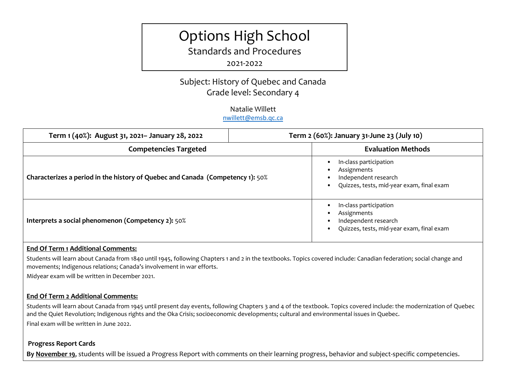# Options High School

Standards and Procedures

2021-2022

Subject: History of Quebec and Canada Grade level: Secondary 4

### Natalie Willett [nwillett@emsb.qc.ca](mailto:nwillett@emsb.qc.ca)

| Term 1 (40%): August 31, 2021- January 28, 2022                                | Term 2 (60%): January 31-June 23 (July 10)                                                                 |
|--------------------------------------------------------------------------------|------------------------------------------------------------------------------------------------------------|
| <b>Competencies Targeted</b>                                                   | <b>Evaluation Methods</b>                                                                                  |
| Characterizes a period in the history of Quebec and Canada (Competency 1): 50% | In-class participation<br>Assignments<br>Independent research<br>Quizzes, tests, mid-year exam, final exam |
| Interprets a social phenomenon (Competency 2): 50%                             | In-class participation<br>Assignments<br>Independent research<br>Quizzes, tests, mid-year exam, final exam |

### **End Of Term 1 Additional Comments:**

Students will learn about Canada from 1840 until 1945, following Chapters 1 and 2 in the textbooks. Topics covered include: Canadian federation; social change and movements; Indigenous relations; Canada's involvement in war efforts.

Midyear exam will be written in December 2021.

## **End Of Term 2 Additional Comments:**

Students will learn about Canada from 1945 until present day events, following Chapters 3 and 4 of the textbook. Topics covered include: the modernization of Quebec and the Quiet Revolution; Indigenous rights and the Oka Crisis; soci0economic developments; cultural and environmental issues in Quebec. Final exam will be written in June 2022.

### **Progress Report Cards**

**By November 19**, students will be issued a Progress Report with comments on their learning progress, behavior and subject-specific competencies.